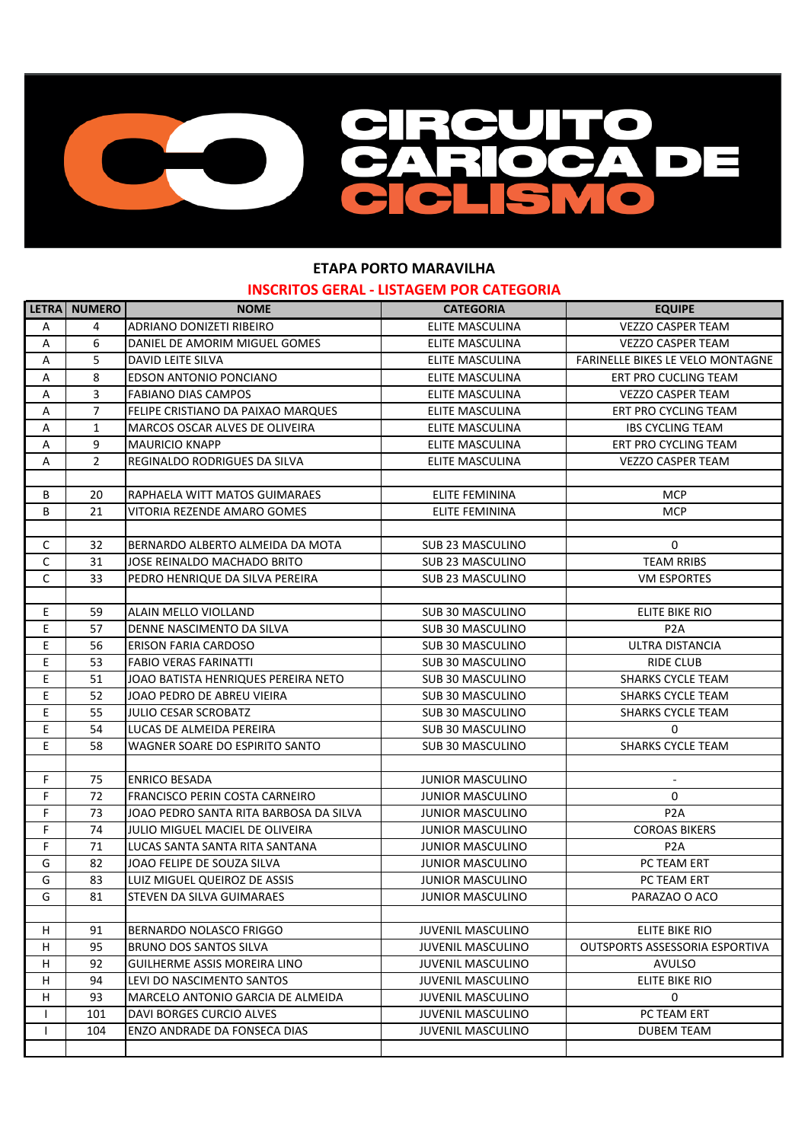

## **ETAPA PORTO MARAVILHA INSCRITOS GERAL - LISTAGEM POR CATEGORIA**

|              | LETRA NUMERO   | <b>NOME</b>                            | <b>CATEGORIA</b>         | <b>EQUIPE</b>                         |
|--------------|----------------|----------------------------------------|--------------------------|---------------------------------------|
| Α            | 4              | ADRIANO DONIZETI RIBEIRO               | ELITE MASCULINA          | <b>VEZZO CASPER TEAM</b>              |
| Α            | 6              | DANIEL DE AMORIM MIGUEL GOMES          | ELITE MASCULINA          | <b>VEZZO CASPER TEAM</b>              |
| А            | 5              | DAVID LEITE SILVA                      | ELITE MASCULINA          | FARINELLE BIKES LE VELO MONTAGNE      |
| Α            | 8              | <b>EDSON ANTONIO PONCIANO</b>          | ELITE MASCULINA          | ERT PRO CUCLING TEAM                  |
| А            | 3              | <b>FABIANO DIAS CAMPOS</b>             | ELITE MASCULINA          | <b>VEZZO CASPER TEAM</b>              |
| A            | $\overline{7}$ | FELIPE CRISTIANO DA PAIXAO MARQUES     | ELITE MASCULINA          | ERT PRO CYCLING TEAM                  |
| Α            | 1              | MARCOS OSCAR ALVES DE OLIVEIRA         | ELITE MASCULINA          | <b>IBS CYCLING TEAM</b>               |
| Α            | 9              | <b>MAURICIO KNAPP</b>                  | ELITE MASCULINA          | ERT PRO CYCLING TEAM                  |
| Α            | $\overline{2}$ | REGINALDO RODRIGUES DA SILVA           | ELITE MASCULINA          | <b>VEZZO CASPER TEAM</b>              |
|              |                |                                        |                          |                                       |
| В            | 20             | RAPHAELA WITT MATOS GUIMARAES          | <b>ELITE FEMININA</b>    | <b>MCP</b>                            |
| В            | 21             | VITORIA REZENDE AMARO GOMES            | ELITE FEMININA           | <b>MCP</b>                            |
|              |                |                                        |                          |                                       |
| $\mathsf{C}$ | 32             | BERNARDO ALBERTO ALMEIDA DA MOTA       | SUB 23 MASCULINO         | $\mathbf 0$                           |
| $\mathsf C$  | 31             | JOSE REINALDO MACHADO BRITO            | SUB 23 MASCULINO         | <b>TEAM RRIBS</b>                     |
| $\mathsf{C}$ | 33             | PEDRO HENRIQUE DA SILVA PEREIRA        | <b>SUB 23 MASCULINO</b>  | <b>VM ESPORTES</b>                    |
|              |                |                                        |                          |                                       |
| E            | 59             | ALAIN MELLO VIOLLAND                   | <b>SUB 30 MASCULINO</b>  | ELITE BIKE RIO                        |
| E.           | 57             | DENNE NASCIMENTO DA SILVA              | SUB 30 MASCULINO         | P <sub>2</sub> A                      |
| E.           | 56             | <b>ERISON FARIA CARDOSO</b>            | SUB 30 MASCULINO         | <b>ULTRA DISTANCIA</b>                |
| E.           | 53             | <b>FABIO VERAS FARINATTI</b>           | SUB 30 MASCULINO         | <b>RIDE CLUB</b>                      |
| E            | 51             | JOAO BATISTA HENRIQUES PEREIRA NETO    | SUB 30 MASCULINO         | <b>SHARKS CYCLE TEAM</b>              |
| E            | 52             | JOAO PEDRO DE ABREU VIEIRA             | SUB 30 MASCULINO         | <b>SHARKS CYCLE TEAM</b>              |
| E            | 55             | <b>JULIO CESAR SCROBATZ</b>            | SUB 30 MASCULINO         | SHARKS CYCLE TEAM                     |
| E            | 54             | LUCAS DE ALMEIDA PEREIRA               | SUB 30 MASCULINO         | 0                                     |
| E            | 58             | WAGNER SOARE DO ESPIRITO SANTO         | SUB 30 MASCULINO         | <b>SHARKS CYCLE TEAM</b>              |
|              |                |                                        |                          |                                       |
| F.           | 75             | <b>ENRICO BESADA</b>                   | <b>JUNIOR MASCULINO</b>  | $\blacksquare$                        |
| F            | 72             | <b>FRANCISCO PERIN COSTA CARNEIRO</b>  | <b>JUNIOR MASCULINO</b>  | 0                                     |
| F            | 73             | JOAO PEDRO SANTA RITA BARBOSA DA SILVA | <b>JUNIOR MASCULINO</b>  | P <sub>2</sub> A                      |
| F            | 74             | JULIO MIGUEL MACIEL DE OLIVEIRA        | <b>JUNIOR MASCULINO</b>  | <b>COROAS BIKERS</b>                  |
| F            | 71             | LUCAS SANTA SANTA RITA SANTANA         | <b>JUNIOR MASCULINO</b>  | P <sub>2</sub> A                      |
| G            | 82             | JOAO FELIPE DE SOUZA SILVA             | <b>JUNIOR MASCULINO</b>  | PC TEAM ERT                           |
| G            | 83             | LUIZ MIGUEL QUEIROZ DE ASSIS           | <b>JUNIOR MASCULINO</b>  | PC TEAM ERT                           |
| G            | 81             | STEVEN DA SILVA GUIMARAES              | <b>JUNIOR MASCULINO</b>  | PARAZAO O ACO                         |
|              |                |                                        |                          |                                       |
| H            | 91             | BERNARDO NOLASCO FRIGGO                | <b>JUVENIL MASCULINO</b> | ELITE BIKE RIO                        |
| H            | 95             | BRUNO DOS SANTOS SILVA                 | <b>JUVENIL MASCULINO</b> | <b>OUTSPORTS ASSESSORIA ESPORTIVA</b> |
| H            | 92             | GUILHERME ASSIS MOREIRA LINO           | <b>JUVENIL MASCULINO</b> | <b>AVULSO</b>                         |
| H            | 94             | LEVI DO NASCIMENTO SANTOS              | <b>JUVENIL MASCULINO</b> | ELITE BIKE RIO                        |
| H            | 93             | MARCELO ANTONIO GARCIA DE ALMEIDA      | <b>JUVENIL MASCULINO</b> | 0                                     |
| $\mathbf{I}$ | 101            | DAVI BORGES CURCIO ALVES               | <b>JUVENIL MASCULINO</b> | PC TEAM ERT                           |
| $\mathbf{I}$ | 104            | ENZO ANDRADE DA FONSECA DIAS           | <b>JUVENIL MASCULINO</b> | <b>DUBEM TEAM</b>                     |
|              |                |                                        |                          |                                       |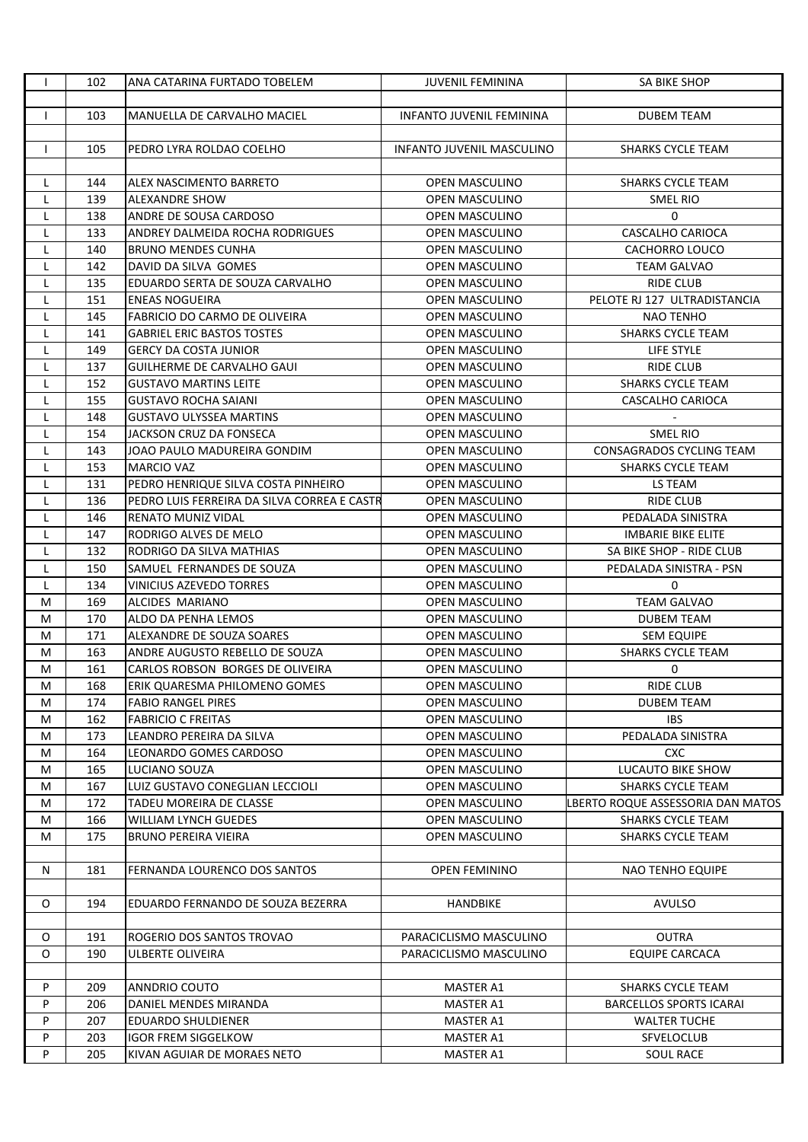| $\mathbf{I}$ | 102 | ANA CATARINA FURTADO TOBELEM                | <b>JUVENIL FEMININA</b>   | SA BIKE SHOP                      |
|--------------|-----|---------------------------------------------|---------------------------|-----------------------------------|
|              |     |                                             |                           |                                   |
| $\mathbf{I}$ | 103 | MANUELLA DE CARVALHO MACIEL                 | INFANTO JUVENIL FEMININA  | <b>DUBEM TEAM</b>                 |
|              |     |                                             |                           |                                   |
| $\mathbf{I}$ | 105 | PEDRO LYRA ROLDAO COELHO                    | INFANTO JUVENIL MASCULINO | <b>SHARKS CYCLE TEAM</b>          |
|              |     |                                             |                           |                                   |
| L            | 144 | <b>ALEX NASCIMENTO BARRETO</b>              | <b>OPEN MASCULINO</b>     | <b>SHARKS CYCLE TEAM</b>          |
| L            | 139 | <b>ALEXANDRE SHOW</b>                       | OPEN MASCULINO            | <b>SMEL RIO</b>                   |
| L            | 138 | ANDRE DE SOUSA CARDOSO                      | OPEN MASCULINO            | 0                                 |
| L            | 133 | <b>ANDREY DALMEIDA ROCHA RODRIGUES</b>      | OPEN MASCULINO            | CASCALHO CARIOCA                  |
| L            | 140 | <b>BRUNO MENDES CUNHA</b>                   | OPEN MASCULINO            | CACHORRO LOUCO                    |
|              | 142 | DAVID DA SILVA GOMES                        | <b>OPEN MASCULINO</b>     | TEAM GALVAO                       |
| L            |     |                                             |                           |                                   |
| L            | 135 | EDUARDO SERTA DE SOUZA CARVALHO             | OPEN MASCULINO            | RIDE CLUB                         |
| L            | 151 | <b>ENEAS NOGUEIRA</b>                       | <b>OPEN MASCULINO</b>     | PELOTE RJ 127 ULTRADISTANCIA      |
| L            | 145 | FABRICIO DO CARMO DE OLIVEIRA               | OPEN MASCULINO            | <b>NAO TENHO</b>                  |
| L            | 141 | <b>GABRIEL ERIC BASTOS TOSTES</b>           | OPEN MASCULINO            | <b>SHARKS CYCLE TEAM</b>          |
| L            | 149 | <b>GERCY DA COSTA JUNIOR</b>                | <b>OPEN MASCULINO</b>     | LIFE STYLE                        |
| L            | 137 | GUILHERME DE CARVALHO GAUI                  | OPEN MASCULINO            | <b>RIDE CLUB</b>                  |
| L            | 152 | <b>GUSTAVO MARTINS LEITE</b>                | OPEN MASCULINO            | <b>SHARKS CYCLE TEAM</b>          |
| L            | 155 | <b>GUSTAVO ROCHA SAIANI</b>                 | OPEN MASCULINO            | CASCALHO CARIOCA                  |
| L            | 148 | <b>GUSTAVO ULYSSEA MARTINS</b>              | <b>OPEN MASCULINO</b>     |                                   |
| L            | 154 | JACKSON CRUZ DA FONSECA                     | OPEN MASCULINO            | SMEL RIO                          |
| L            | 143 | JOAO PAULO MADUREIRA GONDIM                 | OPEN MASCULINO            | <b>CONSAGRADOS CYCLING TEAM</b>   |
| L            | 153 | <b>MARCIO VAZ</b>                           | OPEN MASCULINO            | <b>SHARKS CYCLE TEAM</b>          |
| L            | 131 | PEDRO HENRIQUE SILVA COSTA PINHEIRO         | <b>OPEN MASCULINO</b>     | LS TEAM                           |
| L            | 136 | PEDRO LUIS FERREIRA DA SILVA CORREA E CASTR | OPEN MASCULINO            | <b>RIDE CLUB</b>                  |
| L            | 146 | <b>RENATO MUNIZ VIDAL</b>                   | OPEN MASCULINO            | PEDALADA SINISTRA                 |
| L            | 147 | RODRIGO ALVES DE MELO                       | OPEN MASCULINO            | IMBARIE BIKE ELITE                |
| L.           | 132 | RODRIGO DA SILVA MATHIAS                    | OPEN MASCULINO            | SA BIKE SHOP - RIDE CLUB          |
| L            | 150 | SAMUEL FERNANDES DE SOUZA                   | OPEN MASCULINO            | PEDALADA SINISTRA - PSN           |
| L            | 134 | VINICIUS AZEVEDO TORRES                     | OPEN MASCULINO            | 0                                 |
| М            | 169 | ALCIDES MARIANO                             | OPEN MASCULINO            | <b>TEAM GALVAO</b>                |
| М            | 170 | ALDO DA PENHA LEMOS                         | <b>OPEN MASCULINO</b>     | <b>DUBEM TEAM</b>                 |
| M            | 171 | ALEXANDRE DE SOUZA SOARES                   | OPEN MASCULINO            | <b>SEM EQUIPE</b>                 |
| М            | 163 | ANDRE AUGUSTO REBELLO DE SOUZA              | <b>OPEN MASCULINO</b>     | SHARKS CYCLE TEAM                 |
| М            | 161 | CARLOS ROBSON BORGES DE OLIVEIRA            | OPEN MASCULINO            | 0                                 |
| М            | 168 | JERIK QUARESMA PHILOMENO GOMES              | OPEN MASCULINO            | RIDE CLUB                         |
| М            | 174 | <b>FABIO RANGEL PIRES</b>                   | OPEN MASCULINO            | <b>DUBEM TEAM</b>                 |
| М            | 162 | <b>FABRICIO C FREITAS</b>                   | OPEN MASCULINO            | <b>IBS</b>                        |
| М            | 173 | LEANDRO PEREIRA DA SILVA                    | OPEN MASCULINO            | PEDALADA SINISTRA                 |
| М            | 164 | LEONARDO GOMES CARDOSO                      | OPEN MASCULINO            | <b>CXC</b>                        |
| М            | 165 | LUCIANO SOUZA                               | <b>OPEN MASCULINO</b>     | <b>LUCAUTO BIKE SHOW</b>          |
|              | 167 | LUIZ GUSTAVO CONEGLIAN LECCIOLI             | <b>OPEN MASCULINO</b>     | <b>SHARKS CYCLE TEAM</b>          |
| М            |     |                                             |                           |                                   |
| М            | 172 | TADEU MOREIRA DE CLASSE                     | OPEN MASCULINO            | BERTO ROQUE ASSESSORIA DAN MATOS. |
| M            | 166 | <b>WILLIAM LYNCH GUEDES</b>                 | OPEN MASCULINO            | <b>SHARKS CYCLE TEAM</b>          |
| М            | 175 | <b>BRUNO PEREIRA VIEIRA</b>                 | OPEN MASCULINO            | <b>SHARKS CYCLE TEAM</b>          |
|              |     |                                             |                           |                                   |
| N            | 181 | FERNANDA LOURENCO DOS SANTOS                | OPEN FEMININO             | NAO TENHO EQUIPE                  |
|              |     |                                             |                           |                                   |
| O            | 194 | EDUARDO FERNANDO DE SOUZA BEZERRA           | <b>HANDBIKE</b>           | AVULSO                            |
|              |     |                                             |                           |                                   |
| O            | 191 | ROGERIO DOS SANTOS TROVAO                   | PARACICLISMO MASCULINO    | <b>OUTRA</b>                      |
| 0            | 190 | ULBERTE OLIVEIRA                            | PARACICLISMO MASCULINO    | EQUIPE CARCACA                    |
|              |     |                                             |                           |                                   |
| P            | 209 | <b>ANNDRIO COUTO</b>                        | MASTER A1                 | <b>SHARKS CYCLE TEAM</b>          |
| P            | 206 | DANIEL MENDES MIRANDA                       | MASTER A1                 | <b>BARCELLOS SPORTS ICARAI</b>    |
| P            | 207 | <b>EDUARDO SHULDIENER</b>                   | MASTER A1                 | <b>WALTER TUCHE</b>               |
| P            | 203 | <b>IGOR FREM SIGGELKOW</b>                  | MASTER A1                 | <b>SFVELOCLUB</b>                 |
| P            | 205 | KIVAN AGUIAR DE MORAES NETO                 | MASTER A1                 | <b>SOUL RACE</b>                  |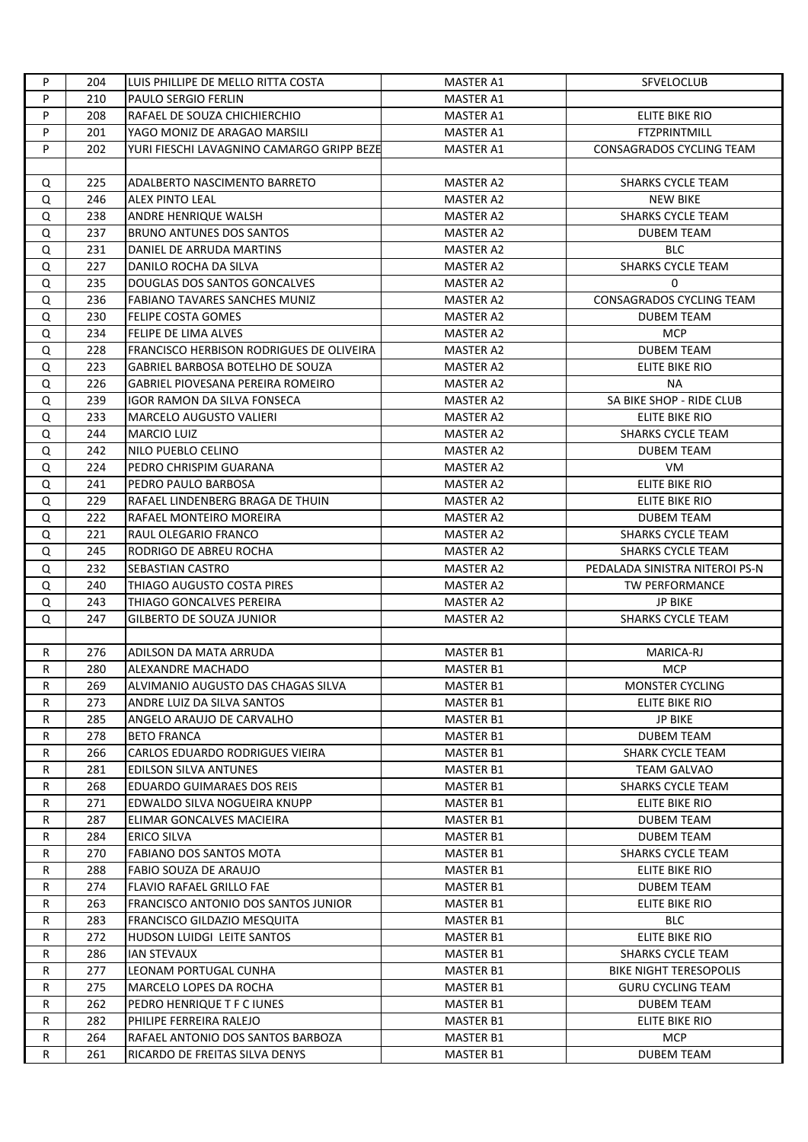| P  | 204 | LUIS PHILLIPE DE MELLO RITTA COSTA              | <b>MASTER A1</b> | <b>SFVELOCLUB</b>              |
|----|-----|-------------------------------------------------|------------------|--------------------------------|
| P  | 210 | <b>PAULO SERGIO FERLIN</b>                      | <b>MASTER A1</b> |                                |
| P  | 208 | RAFAEL DE SOUZA CHICHIERCHIO                    | MASTER A1        | ELITE BIKE RIO                 |
| P  | 201 | YAGO MONIZ DE ARAGAO MARSILI                    | MASTER A1        | <b>FTZPRINTMILL</b>            |
| P  | 202 | YURI FIESCHI LAVAGNINO CAMARGO GRIPP BEZE       | MASTER A1        | CONSAGRADOS CYCLING TEAM       |
|    |     |                                                 |                  |                                |
| Q  | 225 | ADALBERTO NASCIMENTO BARRETO                    | <b>MASTER A2</b> | SHARKS CYCLE TEAM              |
| Q  | 246 | <b>ALEX PINTO LEAL</b>                          | <b>MASTER A2</b> | <b>NEW BIKE</b>                |
| Q  | 238 | ANDRE HENRIQUE WALSH                            | <b>MASTER A2</b> | <b>SHARKS CYCLE TEAM</b>       |
| Q  | 237 | <b>BRUNO ANTUNES DOS SANTOS</b>                 | <b>MASTER A2</b> | <b>DUBEM TEAM</b>              |
| Q  | 231 | DANIEL DE ARRUDA MARTINS                        | MASTER A2        | <b>BLC</b>                     |
| Q  | 227 | DANILO ROCHA DA SILVA                           | <b>MASTER A2</b> | SHARKS CYCLE TEAM              |
| Q  | 235 | DOUGLAS DOS SANTOS GONCALVES                    | <b>MASTER A2</b> | 0                              |
|    | 236 | <b>FABIANO TAVARES SANCHES MUNIZ</b>            |                  | CONSAGRADOS CYCLING TEAM       |
| Q  |     |                                                 | MASTER A2        |                                |
| Q  | 230 | FELIPE COSTA GOMES                              | MASTER A2        | <b>DUBEM TEAM</b>              |
| Q  | 234 | FELIPE DE LIMA ALVES                            | MASTER A2        | <b>MCP</b>                     |
| Q  | 228 | <b>FRANCISCO HERBISON RODRIGUES DE OLIVEIRA</b> | MASTER A2        | <b>DUBEM TEAM</b>              |
| Q  | 223 | GABRIEL BARBOSA BOTELHO DE SOUZA                | <b>MASTER A2</b> | <b>ELITE BIKE RIO</b>          |
| Q  | 226 | GABRIEL PIOVESANA PEREIRA ROMEIRO               | <b>MASTER A2</b> | NA.                            |
| Q  | 239 | <b>IGOR RAMON DA SILVA FONSECA</b>              | <b>MASTER A2</b> | SA BIKE SHOP - RIDE CLUB       |
| Q  | 233 | <b>MARCELO AUGUSTO VALIERI</b>                  | <b>MASTER A2</b> | <b>ELITE BIKE RIO</b>          |
| Q  | 244 | <b>MARCIO LUIZ</b>                              | <b>MASTER A2</b> | <b>SHARKS CYCLE TEAM</b>       |
| Q  | 242 | NILO PUEBLO CELINO                              | <b>MASTER A2</b> | <b>DUBEM TEAM</b>              |
| Q  | 224 | PEDRO CHRISPIM GUARANA                          | MASTER A2        | VM.                            |
| Q  | 241 | PEDRO PAULO BARBOSA                             | <b>MASTER A2</b> | ELITE BIKE RIO                 |
| Q  | 229 | RAFAEL LINDENBERG BRAGA DE THUIN                | <b>MASTER A2</b> | ELITE BIKE RIO                 |
| Q  | 222 | RAFAEL MONTEIRO MOREIRA                         | <b>MASTER A2</b> | <b>DUBEM TEAM</b>              |
| Q  | 221 | RAUL OLEGARIO FRANCO                            | <b>MASTER A2</b> | SHARKS CYCLE TEAM              |
| Q  | 245 | RODRIGO DE ABREU ROCHA                          | <b>MASTER A2</b> | <b>SHARKS CYCLE TEAM</b>       |
| Q  | 232 | SEBASTIAN CASTRO                                | MASTER A2        | PEDALADA SINISTRA NITEROI PS-N |
| Q  | 240 | THIAGO AUGUSTO COSTA PIRES                      | MASTER A2        | <b>TW PERFORMANCE</b>          |
| Q  | 243 | THIAGO GONCALVES PEREIRA                        | MASTER A2        | <b>JP BIKE</b>                 |
| Q  | 247 | <b>GILBERTO DE SOUZA JUNIOR</b>                 | MASTER A2        | <b>SHARKS CYCLE TEAM</b>       |
|    |     |                                                 |                  |                                |
| R  | 276 | ADILSON DA MATA ARRUDA                          | <b>MASTER B1</b> | MARICA-RJ                      |
| R  | 280 | ALEXANDRE MACHADO                               | <b>MASTER B1</b> | <b>MCP</b>                     |
| R  | 269 | ALVIMANIO AUGUSTO DAS CHAGAS SILVA              | MASTER B1        | MONSTER CYCLING                |
| R. | 273 | ANDRE LUIZ DA SILVA SANTOS                      | <b>MASTER B1</b> | ELITE BIKE RIO                 |
| R. | 285 | ANGELO ARAUJO DE CARVALHO                       | MASTER B1        | <b>JP BIKE</b>                 |
| R  | 278 | <b>BETO FRANCA</b>                              | MASTER B1        | <b>DUBEM TEAM</b>              |
| R  | 266 | CARLOS EDUARDO RODRIGUES VIEIRA                 | MASTER B1        | SHARK CYCLE TEAM               |
| R  | 281 | <b>EDILSON SILVA ANTUNES</b>                    | MASTER B1        | <b>TEAM GALVAO</b>             |
| R  | 268 | EDUARDO GUIMARAES DOS REIS                      | MASTER B1        | <b>SHARKS CYCLE TEAM</b>       |
|    |     |                                                 |                  |                                |
| R  | 271 | EDWALDO SILVA NOGUEIRA KNUPP                    | <b>MASTER B1</b> | ELITE BIKE RIO                 |
| R  | 287 | ELIMAR GONCALVES MACIEIRA                       | MASTER B1        | <b>DUBEM TEAM</b>              |
| R. | 284 | <b>ERICO SILVA</b>                              | MASTER B1        | <b>DUBEM TEAM</b>              |
| R  | 270 | FABIANO DOS SANTOS MOTA                         | <b>MASTER B1</b> | <b>SHARKS CYCLE TEAM</b>       |
| R  | 288 | FABIO SOUZA DE ARAUJO                           | MASTER B1        | ELITE BIKE RIO                 |
| R  | 274 | <b>FLAVIO RAFAEL GRILLO FAE</b>                 | MASTER B1        | <b>DUBEM TEAM</b>              |
| R  | 263 | FRANCISCO ANTONIO DOS SANTOS JUNIOR             | MASTER B1        | ELITE BIKE RIO                 |
| R  | 283 | FRANCISCO GILDAZIO MESQUITA                     | MASTER B1        | <b>BLC</b>                     |
| R  | 272 | HUDSON LUIDGI LEITE SANTOS                      | MASTER B1        | ELITE BIKE RIO                 |
| R  | 286 | IAN STEVAUX                                     | MASTER B1        | <b>SHARKS CYCLE TEAM</b>       |
| R  | 277 | LEONAM PORTUGAL CUNHA                           | MASTER B1        | <b>BIKE NIGHT TERESOPOLIS</b>  |
| R  | 275 | MARCELO LOPES DA ROCHA                          | MASTER B1        | GURU CYCLING TEAM              |
| R. | 262 | PEDRO HENRIQUE T F C IUNES                      | MASTER B1        | <b>DUBEM TEAM</b>              |
| R  | 282 | PHILIPE FERREIRA RALEJO                         | MASTER B1        | ELITE BIKE RIO                 |
| R. | 264 | RAFAEL ANTONIO DOS SANTOS BARBOZA               | MASTER B1        | <b>MCP</b>                     |
| R  | 261 | RICARDO DE FREITAS SILVA DENYS                  | MASTER B1        | <b>DUBEM TEAM</b>              |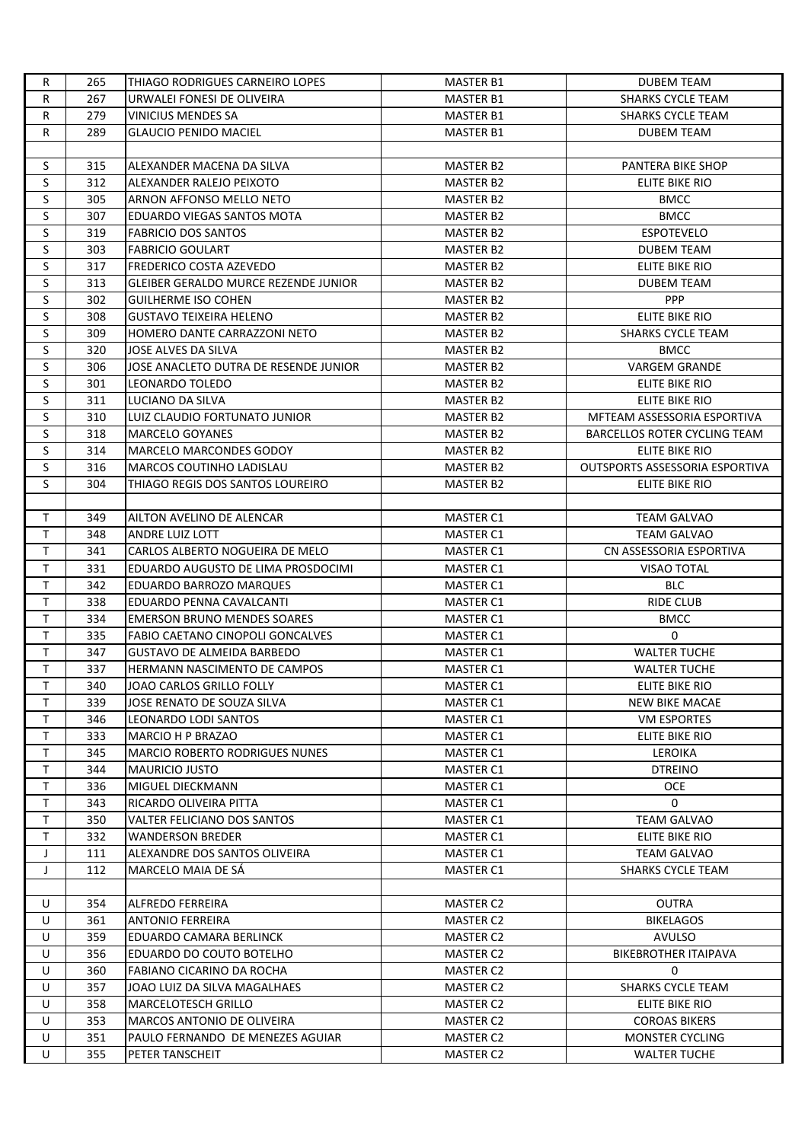| R           | 265 | THIAGO RODRIGUES CARNEIRO LOPES             | <b>MASTER B1</b> | <b>DUBEM TEAM</b>                     |
|-------------|-----|---------------------------------------------|------------------|---------------------------------------|
| R           | 267 | URWALEI FONESI DE OLIVEIRA                  | MASTER B1        | <b>SHARKS CYCLE TEAM</b>              |
| R           | 279 | <b>VINICIUS MENDES SA</b>                   | <b>MASTER B1</b> | <b>SHARKS CYCLE TEAM</b>              |
| R           | 289 | GLAUCIO PENIDO MACIEL                       | <b>MASTER B1</b> | <b>DUBEM TEAM</b>                     |
|             |     |                                             |                  |                                       |
| S           | 315 | ALEXANDER MACENA DA SILVA                   | <b>MASTER B2</b> | PANTERA BIKE SHOP                     |
| S           | 312 | ALEXANDER RALEJO PEIXOTO                    | <b>MASTER B2</b> | ELITE BIKE RIO                        |
| S           | 305 | ARNON AFFONSO MELLO NETO                    | MASTER B2        | <b>BMCC</b>                           |
| S           | 307 | EDUARDO VIEGAS SANTOS MOTA                  | <b>MASTER B2</b> | <b>BMCC</b>                           |
| S           | 319 | <b>FABRICIO DOS SANTOS</b>                  | MASTER B2        | <b>ESPOTEVELO</b>                     |
| S           | 303 | <b>FABRICIO GOULART</b>                     | MASTER B2        | <b>DUBEM TEAM</b>                     |
| S           | 317 | <b>FREDERICO COSTA AZEVEDO</b>              | MASTER B2        | <b>ELITE BIKE RIO</b>                 |
| S           | 313 | <b>GLEIBER GERALDO MURCE REZENDE JUNIOR</b> | MASTER B2        | <b>DUBEM TEAM</b>                     |
| S           | 302 | <b>GUILHERME ISO COHEN</b>                  | MASTER B2        | <b>PPP</b>                            |
| S           | 308 | <b>GUSTAVO TEIXEIRA HELENO</b>              | MASTER B2        | ELITE BIKE RIO                        |
| S           | 309 | HOMERO DANTE CARRAZZONI NETO                | MASTER B2        | <b>SHARKS CYCLE TEAM</b>              |
| S           | 320 | JOSE ALVES DA SILVA                         | <b>MASTER B2</b> | <b>BMCC</b>                           |
| S           | 306 | JOSE ANACLETO DUTRA DE RESENDE JUNIOR       | MASTER B2        | <b>VARGEM GRANDE</b>                  |
| $\sf S$     | 301 | LEONARDO TOLEDO                             | <b>MASTER B2</b> | ELITE BIKE RIO                        |
| S           | 311 | LUCIANO DA SILVA                            | <b>MASTER B2</b> | ELITE BIKE RIO                        |
| S           | 310 | LUIZ CLAUDIO FORTUNATO JUNIOR               | MASTER B2        | MFTEAM ASSESSORIA ESPORTIVA           |
| S           | 318 | <b>MARCELO GOYANES</b>                      | <b>MASTER B2</b> | BARCELLOS ROTER CYCLING TEAM          |
| S           | 314 | MARCELO MARCONDES GODOY                     | MASTER B2        | ELITE BIKE RIO                        |
| S           | 316 | <b>MARCOS COUTINHO LADISLAU</b>             | <b>MASTER B2</b> | <b>OUTSPORTS ASSESSORIA ESPORTIVA</b> |
| S           | 304 | THIAGO REGIS DOS SANTOS LOUREIRO            | MASTER B2        | ELITE BIKE RIO                        |
|             |     |                                             |                  |                                       |
| T           | 349 | AILTON AVELINO DE ALENCAR                   | MASTER C1        | <b>TEAM GALVAO</b>                    |
| T           | 348 | ANDRE LUIZ LOTT                             | <b>MASTER C1</b> | <b>TEAM GALVAO</b>                    |
| T.          | 341 | CARLOS ALBERTO NOGUEIRA DE MELO             | MASTER C1        | CN ASSESSORIA ESPORTIVA               |
| T.          | 331 | EDUARDO AUGUSTO DE LIMA PROSDOCIMI          | MASTER C1        | <b>VISAO TOTAL</b>                    |
| T.          | 342 | EDUARDO BARROZO MARQUES                     | MASTER C1        | <b>BLC</b>                            |
| $\mathsf T$ | 338 | EDUARDO PENNA CAVALCANTI                    | MASTER C1        | <b>RIDE CLUB</b>                      |
| T           | 334 | <b>EMERSON BRUNO MENDES SOARES</b>          | MASTER C1        | <b>BMCC</b>                           |
| T.          | 335 | FABIO CAETANO CINOPOLI GONCALVES            | <b>MASTER C1</b> | 0                                     |
| T           | 347 | <b>GUSTAVO DE ALMEIDA BARBEDO</b>           | MASTER C1        | <b>WALTER TUCHE</b>                   |
| T           | 337 | HERMANN NASCIMENTO DE CAMPOS                | <b>MASTER C1</b> | <b>WALTER TUCHE</b>                   |
|             | 340 | JOAO CARLOS GRILLO FOLLY                    | MASTER C1        | ELITE BIKE RIO                        |
| T.          | 339 | JOSE RENATO DE SOUZA SILVA                  | MASTER C1        | <b>NEW BIKE MACAE</b>                 |
| T.          | 346 | LEONARDO LODI SANTOS                        | MASTER C1        | <b>VM ESPORTES</b>                    |
| T           | 333 | MARCIO H P BRAZAO                           | MASTER C1        | ELITE BIKE RIO                        |
| T           | 345 | <b>MARCIO ROBERTO RODRIGUES NUNES</b>       | MASTER C1        | LEROIKA                               |
| T.          | 344 | <b>MAURICIO JUSTO</b>                       | <b>MASTER C1</b> | <b>DTREINO</b>                        |
| T.          | 336 | MIGUEL DIECKMANN                            | <b>MASTER C1</b> | OCE                                   |
| T.          | 343 | RICARDO OLIVEIRA PITTA                      | MASTER C1        | $\mathbf{0}$                          |
| T.          | 350 | VALTER FELICIANO DOS SANTOS                 | MASTER C1        | TEAM GALVAO                           |
| T.          | 332 | <b>WANDERSON BREDER</b>                     | MASTER C1        | ELITE BIKE RIO                        |
| J           | 111 | ALEXANDRE DOS SANTOS OLIVEIRA               | MASTER C1        | TEAM GALVAO                           |
| J           | 112 | MARCELO MAIA DE SÁ                          | MASTER C1        | <b>SHARKS CYCLE TEAM</b>              |
|             |     |                                             |                  |                                       |
| U           | 354 | ALFREDO FERREIRA                            | MASTER C2        | <b>OUTRA</b>                          |
| U           | 361 | ANTONIO FERREIRA                            | MASTER C2        | <b>BIKELAGOS</b>                      |
| U           | 359 | EDUARDO CAMARA BERLINCK                     | MASTER C2        | AVULSO                                |
| U           | 356 | EDUARDO DO COUTO BOTELHO                    | MASTER C2        | <b>BIKEBROTHER ITAIPAVA</b>           |
| U           | 360 | FABIANO CICARINO DA ROCHA                   | MASTER C2        | 0                                     |
| U           | 357 | JOAO LUIZ DA SILVA MAGALHAES                | MASTER C2        | <b>SHARKS CYCLE TEAM</b>              |
| U           | 358 | <b>MARCELOTESCH GRILLO</b>                  | MASTER C2        | ELITE BIKE RIO                        |
| U           | 353 | MARCOS ANTONIO DE OLIVEIRA                  | MASTER C2        | <b>COROAS BIKERS</b>                  |
| U           | 351 | PAULO FERNANDO DE MENEZES AGUIAR            | MASTER C2        | MONSTER CYCLING                       |
| U           | 355 | PETER TANSCHEIT                             | MASTER C2        | <b>WALTER TUCHE</b>                   |